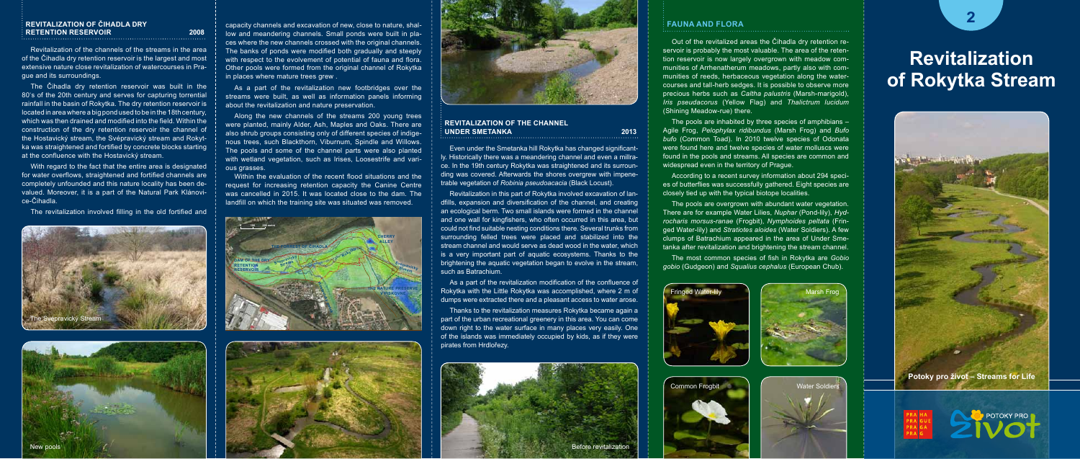### **Revitalization of ČIHADLA DRY RETENTION RESERVOIR** 2008

Revitalization of the channels of the streams in the area of the Čihadla dry retention reservoir is the largest and most extensive nature close revitalization of watercourses in Prague and its surroundings.

The Čihadla dry retention reservoir was built in the 80's of the 20th century and serves for capturing torrential rainfall in the basin of Rokytka. The dry retention reservoir is located in area where a big pond used to be in the 18th century, which was then drained and modified into the field. Within the construction of the dry retention reservoir the channel of the Hostavický stream, the Svépravický stream and Rokytka was straightened and fortified by concrete blocks starting at the confluence with the Hostavický stream.

#### **Revitalization of the Channel UNDER SMETANKA** 2013

With regard to the fact that the entire area is designated for water overflows, straightened and fortified channels are completely unfounded and this nature locality has been devalued. Moreover, it is a part of the Natural Park Klánovice-Čihadla.

The revitalization involved filling in the old fortified and

Even under the Smetanka hill Rokytka has changed significantly. Historically there was a meandering channel and even a millrace. In the 19th century Rokytka was straightened and its surrounding was covered. Afterwards the shores overgrew with impenetrable vegetation of *Robinia pseudoacacia* (Black Locust).

The pools are inhabited by three species of amphibians – Agile Frog, *Pelophylax ridibundus* (Marsh Frog) and *Bufo bufo* (Common Toad). In 2010 twelve species of Odonata were found here and twelve species of water molluscs were found in the pools and streams. All species are common and widespread even in the territory of Prague.

Revitalization in this part of Rokytka involved excavation of landfills, expansion and diversification of the channel, and creating an ecological berm. Two small islands were formed in the channel and one wall for kingfishers, who often occurred in this area, but could not find suitable nesting conditions there. Several trunks from surrounding felled trees were placed and stabilized into the stream channel and would serve as dead wood in the water, which is a very important part of aquatic ecosystems. Thanks to the brightening the aquatic vegetation began to evolve in the stream, such as Batrachium.

The pools are overgrown with abundant water vegetation. There are for example Water Lilies, *Nuphar* (Pond-lily), *Hydrocharis morsus-ranae* (Frogbit), *Nymphoides peltata* (Fringed Water-lily) and *Stratiotes aloides* (Water Soldiers). A few clumps of Batrachium appeared in the area of Under Smetanka after revitalization and brightening the stream channel.

As a part of the revitalization modification of the confluence of Rokytka with the Little Rokytka was accomplished, where 2 m of dumps were extracted there and a pleasant access to water arose.

Along the new channels of the streams 200 young trees were planted, mainly Alder, Ash, Maples and Oaks. There are also shrub groups consisting only of different species of indigenous trees, such Blackthorn, Viburnum, Spindle and Willows. The pools and some of the channel parts were also planted with wetland vegetation, such as Irises, Loosestrife and various grasses.

> Thanks to the revitalization measures Rokytka became again a part of the urban recreational greenery in this area. You can come down right to the water surface in many places very easily. One of the islands was immediately occupied by kids, as if they were pirates from Hrdlořezy.



# **Revitalization of Rokytka Stream**

## **2 <sup>F</sup>**FAUNA A FLORA **auna and Flora**

Out of the revitalized areas the Čihadla dry retention reservoir is probably the most valuable. The area of the retention reservoir is now largely overgrown with meadow communities of Arrhenatherum meadows, partly also with communities of reeds, herbaceous vegetation along the watercourses and tall-herb sedges. It is possible to observe more precious herbs such as *Caltha palustris* (Marsh-marigold), *Iris pseudacorus* (Yellow Flag) and *Thalictrum lucidum* (Shining Meadow-rue) there.

According to a recent survey information about 294 species of butterflies was successfully gathered. Eight species are closely tied up with the typical biotope localities.

The most common species of fish in Rokytka are *Gobio gobio* (Gudgeon) and *Squalius cephalus* (European Chub).









capacity channels and excavation of new, close to nature, shallow and meandering channels. Small ponds were built in places where the new channels crossed with the original channels. The banks of ponds were modified both gradually and steeply with respect to the evolvement of potential of fauna and flora. Other pools were formed from the original channel of Rokytka in places where mature trees grew .

As a part of the revitalization new footbridges over the streams were built, as well as information panels informing about the revitalization and nature preservation.

Within the evaluation of the recent flood situations and the request for increasing retention capacity the Canine Centre was cancelled in 2015. It was located close to the dam. The landfill on which the training site was situated was removed.